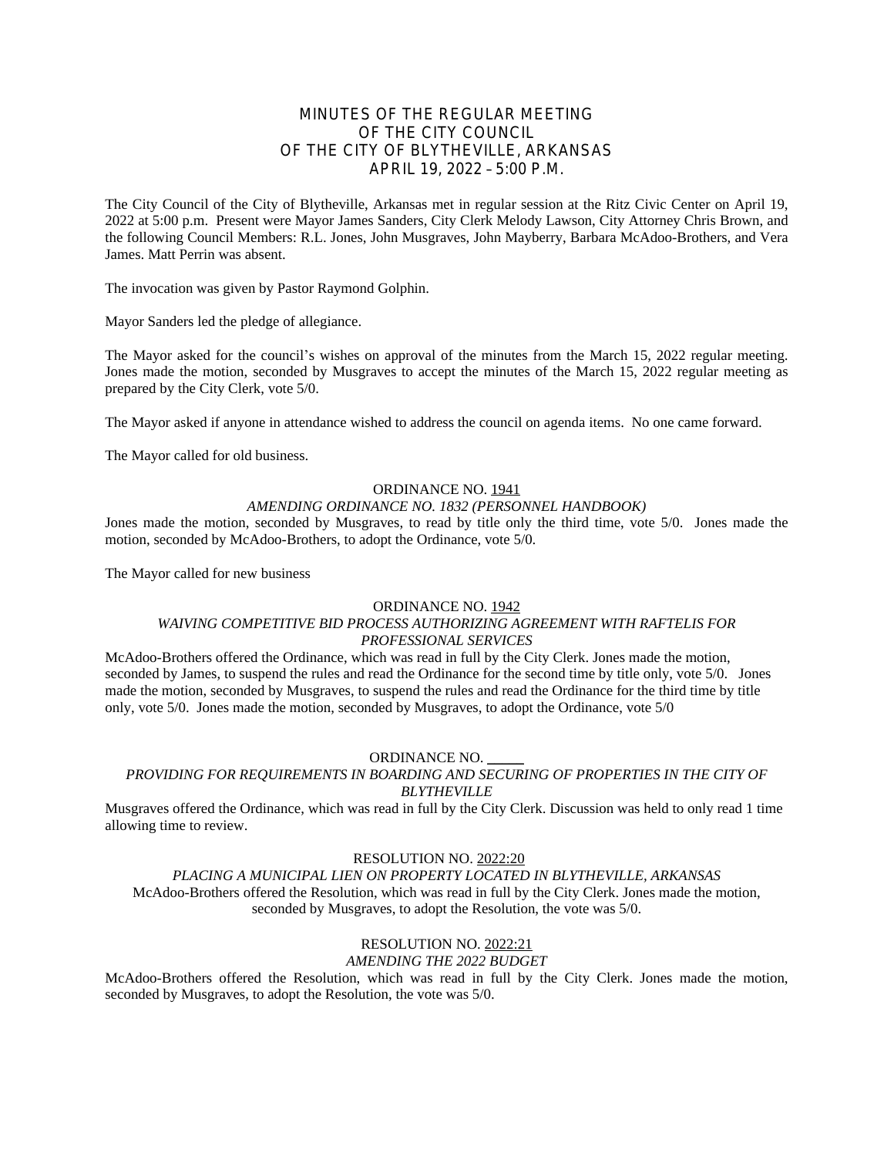# MINUTES OF THE REGULAR MEETING OF THE CITY COUNCIL OF THE CITY OF BLYTHEVILLE, ARKANSAS APRIL 19, 2022 – 5:00 P.M.

The City Council of the City of Blytheville, Arkansas met in regular session at the Ritz Civic Center on April 19, 2022 at 5:00 p.m. Present were Mayor James Sanders, City Clerk Melody Lawson, City Attorney Chris Brown, and the following Council Members: R.L. Jones, John Musgraves, John Mayberry, Barbara McAdoo-Brothers, and Vera James. Matt Perrin was absent.

The invocation was given by Pastor Raymond Golphin.

Mayor Sanders led the pledge of allegiance.

The Mayor asked for the council's wishes on approval of the minutes from the March 15, 2022 regular meeting. Jones made the motion, seconded by Musgraves to accept the minutes of the March 15, 2022 regular meeting as prepared by the City Clerk, vote 5/0.

The Mayor asked if anyone in attendance wished to address the council on agenda items. No one came forward.

The Mayor called for old business.

### ORDINANCE NO. 1941

#### *AMENDING ORDINANCE NO. 1832 (PERSONNEL HANDBOOK)*

Jones made the motion, seconded by Musgraves, to read by title only the third time, vote 5/0. Jones made the motion, seconded by McAdoo-Brothers, to adopt the Ordinance, vote 5/0.

The Mayor called for new business

#### ORDINANCE NO. 1942

# *WAIVING COMPETITIVE BID PROCESS AUTHORIZING AGREEMENT WITH RAFTELIS FOR PROFESSIONAL SERVICES*

McAdoo-Brothers offered the Ordinance, which was read in full by the City Clerk. Jones made the motion, seconded by James, to suspend the rules and read the Ordinance for the second time by title only, vote 5/0. Jones made the motion, seconded by Musgraves, to suspend the rules and read the Ordinance for the third time by title only, vote 5/0. Jones made the motion, seconded by Musgraves, to adopt the Ordinance, vote 5/0

#### ORDINANCE NO. \_\_\_\_\_

#### *PROVIDING FOR REQUIREMENTS IN BOARDING AND SECURING OF PROPERTIES IN THE CITY OF BLYTHEVILLE*

Musgraves offered the Ordinance, which was read in full by the City Clerk. Discussion was held to only read 1 time allowing time to review.

RESOLUTION NO. 2022:20

## *PLACING A MUNICIPAL LIEN ON PROPERTY LOCATED IN BLYTHEVILLE, ARKANSAS*

McAdoo-Brothers offered the Resolution, which was read in full by the City Clerk. Jones made the motion, seconded by Musgraves, to adopt the Resolution, the vote was 5/0.

## RESOLUTION NO. 2022:21

*AMENDING THE 2022 BUDGET*

McAdoo-Brothers offered the Resolution, which was read in full by the City Clerk. Jones made the motion, seconded by Musgraves, to adopt the Resolution, the vote was 5/0.